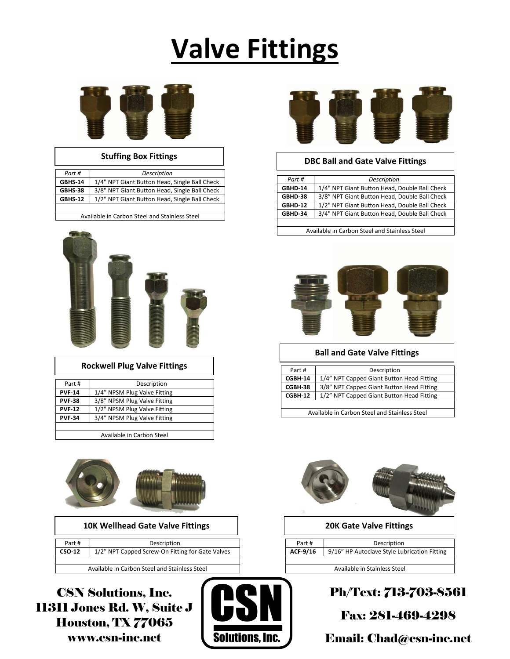# **Valve Fittings**



| <b>Stuffing Box Fittings</b> |                                               |
|------------------------------|-----------------------------------------------|
| Part #                       | Description                                   |
| <b>GBHS-14</b>               | 1/4" NPT Giant Button Head, Single Ball Check |
| GBHS-38                      | 3/8" NPT Giant Button Head, Single Ball Check |
| <b>GBHS-12</b>               | 1/2" NPT Giant Button Head, Single Ball Check |
|                              |                                               |

Available in Carbon Steel and Stainless Steel



## **Rockwell Plug Valve Fittings**

| Part #        | Description                  |
|---------------|------------------------------|
| <b>PVF-14</b> | 1/4" NPSM Plug Valve Fitting |
| <b>PVF-38</b> | 3/8" NPSM Plug Valve Fitting |
| <b>PVF-12</b> | 1/2" NPSM Plug Valve Fitting |
| <b>PVF-34</b> | 3/4" NPSM Plug Valve Fitting |
|               |                              |

Available in Carbon Steel



| <b>10K Wellhead Gate Valve Fittings</b> |  | <b>20K Gate Valve Fittings</b> |
|-----------------------------------------|--|--------------------------------|
|-----------------------------------------|--|--------------------------------|

| Part # | Description                                      |
|--------|--------------------------------------------------|
| CSO-12 | 1/2" NPT Capped Screw-On Fitting for Gate Valves |
|        |                                                  |

Available in Carbon Steel and Stainless Steel

CSN Solutions, Inc. 11311 Jones Rd. W, Suite J Houston, TX 77065 www.csn-inc.net





## **Stuffing Box Fittings DBC Ball and Gate Valve Fittings**

| Part #         | Description                                   |
|----------------|-----------------------------------------------|
| GBHD-14        | 1/4" NPT Giant Button Head, Double Ball Check |
| GBHD-38        | 3/8" NPT Giant Button Head, Double Ball Check |
| <b>GBHD-12</b> | 1/2" NPT Giant Button Head, Double Ball Check |
| GBHD-34        | 3/4" NPT Giant Button Head, Double Ball Check |
|                |                                               |

Available in Carbon Steel and Stainless Steel



## **Ball and Gate Valve Fittings**

| Part#                                         | Description                               |
|-----------------------------------------------|-------------------------------------------|
| CGBH-14                                       | 1/4" NPT Capped Giant Button Head Fitting |
| CGBH-38                                       | 3/8" NPT Capped Giant Button Head Fitting |
| CGBH-12                                       | 1/2" NPT Capped Giant Button Head Fitting |
|                                               |                                           |
| Available in Carbon Steel and Stainless Steel |                                           |

| <b>20K Gate Valve Fittings</b> |                                              |
|--------------------------------|----------------------------------------------|
|                                |                                              |
| Part#                          | Description                                  |
| ACF-9/16                       | 9/16" HP Autoclave Style Lubrication Fitting |
|                                |                                              |
| Available in Stainless Steel   |                                              |

Ph/Text: 713-703-8561

Fax: 281-469-4298

Email: Chad@csn-inc.net